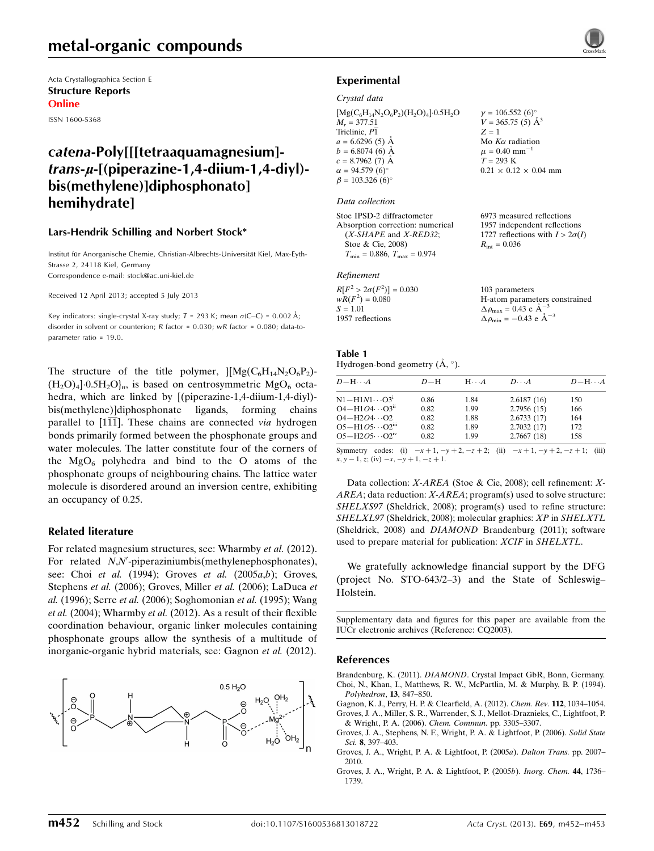## metal-organic compounds

Acta Crystallographica Section E Structure Reports Online

ISSN 1600-5368

## catena-Poly[[[tetraaquamagnesium]  $trans-u-[$ (piperazine-1,4-diium-1,4-diyl)bis(methylene)]diphosphonato] hemihydrate]

#### Lars-Hendrik Schilling and Norbert Stock\*

Institut für Anorganische Chemie, Christian-Albrechts-Universität Kiel, Max-Eyth-Strasse 2, 24118 Kiel, Germany Correspondence e-mail: [stock@ac.uni-kiel.de](https://scripts.iucr.org/cgi-bin/cr.cgi?rm=pdfbb&cnor=cq2003&bbid=BB14)

Received 12 April 2013; accepted 5 July 2013

Key indicators: single-crystal X-ray study;  $T = 293$  K; mean  $\sigma$ (C–C) = 0.002 Å; disorder in solvent or counterion; R factor = 0.030; wR factor = 0.080; data-toparameter ratio = 19.0.

The structure of the title polymer,  $\frac{1}{Mg(C_6H_{14}N_2O_6P_2)}$ - $(H_2O)_4$ <sup>1.</sup>0.5H<sub>2</sub>O<sub>ln</sub>, is based on centrosymmetric MgO<sub>6</sub> octahedra, which are linked by [(piperazine-1,4-diium-1,4-diyl)bis(methylene)]diphosphonate ligands, forming chains parallel to  $[1\overline{11}]$ . These chains are connected *via* hydrogen bonds primarily formed between the phosphonate groups and water molecules. The latter constitute four of the corners of the  $MgO_6$  polyhedra and bind to the O atoms of the phosphonate groups of neighbouring chains. The lattice water molecule is disordered around an inversion centre, exhibiting an occupancy of 0.25.

#### Related literature

For related magnesium structures, see: Wharmby et al. (2012). For related N,N'-piperaziniumbis(methylenephosphonates), see: Choi et al. (1994); Groves et al. (2005a,b); Groves, Stephens et al. (2006); Groves, Miller et al. (2006); LaDuca et al. (1996); Serre et al. (2006); Soghomonian et al. (1995); Wang et al. (2004); Wharmby et al. (2012). As a result of their flexible coordination behaviour, organic linker molecules containing phosphonate groups allow the synthesis of a multitude of inorganic-organic hybrid materials, see: Gagnon et al. (2012).



## Experimental

#### Crystal data

 $[Mg(C_6H_{14}N_2O_6P_2)(H_2O)_4]\cdot 0.5H_2O$  $M<sub>r</sub> = 377.51$ Triclinic, P1  $a = 6.6296(5)$  Å  $b = 6.8074(6)$  Å  $c = 8.7962(7)$  Å  $\alpha = 94.579(6)$ °  $\beta = 103.326 (6)^{\circ}$  $v = 106.552 (6)$ °  $V = 365.75(5)$   $\AA^3$  $Z = 1$ Mo  $K\alpha$  radiation  $\mu$  = 0.40 mm<sup>-1</sup>  $T = 293$  K  $0.21 \times 0.12 \times 0.04$  mm

#### Data collection

Stoe IPSD-2 diffractometer Absorption correction: numerical  $(X-SHAPE$  and  $X-RED32$ ; Stoe & Cie, 2008)  $T_{\text{min}} = 0.886$ ,  $T_{\text{max}} = 0.974$ 

#### Refinement

| $R[F^2 > 2\sigma(F^2)] = 0.030$ |  |
|---------------------------------|--|
| $wR(F^2) = 0.080$               |  |
| $S = 1.01$                      |  |
| 1957 reflections                |  |

#### Table 1 Hydrogen-bond geometry  $(\AA, \degree)$ .

| $-\mathbf{H}\cdots A$ | ם מ | $H_{1}$ |  |
|-----------------------|-----|---------|--|

| $D - H \cdots A$            | $D-H$ | $H\cdots A$ | $D\cdots A$ | $D - H \cdots A$ |
|-----------------------------|-------|-------------|-------------|------------------|
| $N1 - H1N1 \cdots O31$      | 0.86  | 1.84        | 2.6187(16)  | 150              |
| $O4 - H1O4 \cdots O3^{ii}$  | 0.82  | 1.99        | 2.7956(15)  | 166              |
| $O4 - H2O4 \cdots O2$       | 0.82  | 1.88        | 2.6733(17)  | 164              |
| $O5 - H1O5 \cdots O2^{iii}$ | 0.82  | 1.89        | 2.7032(17)  | 172              |
| $O5 - H2O5 \cdots O2^{iv}$  | 0.82  | 1.99        | 2.7667(18)  | 158              |
|                             |       |             |             |                  |

6973 measured reflections 1957 independent reflections 1727 reflections with  $I > 2\sigma(I)$ 

H-atom parameters constrained

 $R_{\text{int}} = 0.036$ 

103 parameters

 $\Delta \rho_{\text{max}} = 0.43 \text{ e A}^{-3}$  $\Delta \rho_{\rm min} = -0.43 \text{ e } \text{\AA}^{-3}$ 

Symmetry codes: (i)  $-x + 1$ ,  $-y + 2$ ,  $-z + 2$ ; (ii)  $-x + 1$ ,  $-y + 2$ ,  $-z + 1$ ; (iii)  $x, y - 1, z$ ; (iv)  $-x, -y + 1, -z + 1$ .

Data collection: X-AREA (Stoe & Cie, 2008); cell refinement: X-AREA; data reduction: X-AREA; program(s) used to solve structure: SHELXS97 (Sheldrick, 2008); program(s) used to refine structure: SHELXL97 (Sheldrick, 2008); molecular graphics: XP in SHELXTL (Sheldrick, 2008) and DIAMOND Brandenburg (2011); software used to prepare material for publication: XCIF in SHELXTL.

We gratefully acknowledge financial support by the DFG (project No. STO-643/2–3) and the State of Schleswig– Holstein.

Supplementary data and figures for this paper are available from the IUCr electronic archives (Reference: CQ2003).

#### References

- Brandenburg, K. (2011). DIAMOND[. Crystal Impact GbR, Bonn, Germany.](https://scripts.iucr.org/cgi-bin/cr.cgi?rm=pdfbb&cnor=cq2003&bbid=BB1) [Choi, N., Khan, I., Matthews, R. W., McPartlin, M. & Murphy, B. P. \(1994\).](https://scripts.iucr.org/cgi-bin/cr.cgi?rm=pdfbb&cnor=cq2003&bbid=BB2) [Polyhedron](https://scripts.iucr.org/cgi-bin/cr.cgi?rm=pdfbb&cnor=cq2003&bbid=BB2), 13, 847–850.
- [Gagnon, K. J., Perry, H. P. & Clearfield, A. \(2012\).](https://scripts.iucr.org/cgi-bin/cr.cgi?rm=pdfbb&cnor=cq2003&bbid=BB3) Chem. Rev. 112, 1034–1054. [Groves, J. A., Miller, S. R., Warrender, S. J., Mellot-Draznieks, C., Lightfoot, P.](https://scripts.iucr.org/cgi-bin/cr.cgi?rm=pdfbb&cnor=cq2003&bbid=BB4)
- [& Wright, P. A. \(2006\).](https://scripts.iucr.org/cgi-bin/cr.cgi?rm=pdfbb&cnor=cq2003&bbid=BB4) Chem. Commun. pp. 3305–3307. [Groves, J. A., Stephens, N. F., Wright, P. A. & Lightfoot, P. \(2006\).](https://scripts.iucr.org/cgi-bin/cr.cgi?rm=pdfbb&cnor=cq2003&bbid=BB5) Solid State Sci. 8[, 397–403.](https://scripts.iucr.org/cgi-bin/cr.cgi?rm=pdfbb&cnor=cq2003&bbid=BB5)
- [Groves, J. A., Wright, P. A. & Lightfoot, P. \(2005](https://scripts.iucr.org/cgi-bin/cr.cgi?rm=pdfbb&cnor=cq2003&bbid=BB6)a). Dalton Trans. pp. 2007– [2010.](https://scripts.iucr.org/cgi-bin/cr.cgi?rm=pdfbb&cnor=cq2003&bbid=BB6)
- [Groves, J. A., Wright, P. A. & Lightfoot, P. \(2005](https://scripts.iucr.org/cgi-bin/cr.cgi?rm=pdfbb&cnor=cq2003&bbid=BB7)b). Inorg. Chem. 44, 1736– [1739.](https://scripts.iucr.org/cgi-bin/cr.cgi?rm=pdfbb&cnor=cq2003&bbid=BB7)

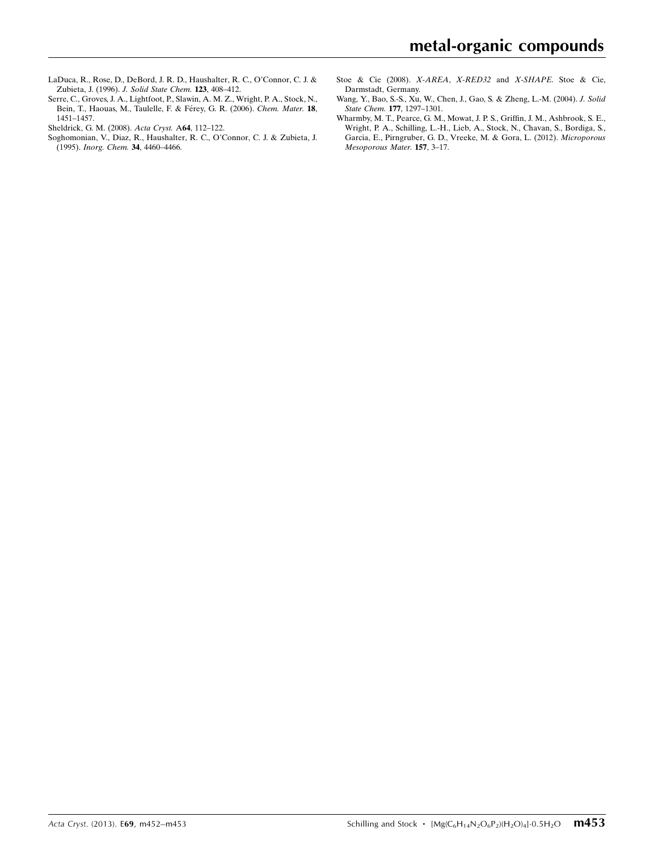- [LaDuca, R., Rose, D., DeBord, J. R. D., Haushalter, R. C., O'Connor, C. J. &](https://scripts.iucr.org/cgi-bin/cr.cgi?rm=pdfbb&cnor=cq2003&bbid=BB8) Zubieta, J. (1996). [J. Solid State Chem.](https://scripts.iucr.org/cgi-bin/cr.cgi?rm=pdfbb&cnor=cq2003&bbid=BB8) 123, 408–412.
- [Serre, C., Groves, J. A., Lightfoot, P., Slawin, A. M. Z., Wright, P. A., Stock, N.,](https://scripts.iucr.org/cgi-bin/cr.cgi?rm=pdfbb&cnor=cq2003&bbid=BB9) Bein, T., Haouas, M., Taulelle, F. & Férey, G. R. (2006). Chem. Mater. 18, [1451–1457.](https://scripts.iucr.org/cgi-bin/cr.cgi?rm=pdfbb&cnor=cq2003&bbid=BB9)
- [Sheldrick, G. M. \(2008\).](https://scripts.iucr.org/cgi-bin/cr.cgi?rm=pdfbb&cnor=cq2003&bbid=BB10) Acta Cryst. A64, 112–122.
- [Soghomonian, V., Diaz, R., Haushalter, R. C., O'Connor, C. J. & Zubieta, J.](https://scripts.iucr.org/cgi-bin/cr.cgi?rm=pdfbb&cnor=cq2003&bbid=BB11) (1995). [Inorg. Chem.](https://scripts.iucr.org/cgi-bin/cr.cgi?rm=pdfbb&cnor=cq2003&bbid=BB11) 34, 4460–4466.
- [Stoe & Cie \(2008\).](https://scripts.iucr.org/cgi-bin/cr.cgi?rm=pdfbb&cnor=cq2003&bbid=BB12) X-AREA, X-RED32 and X-SHAPE. Stoe & Cie, [Darmstadt, Germany.](https://scripts.iucr.org/cgi-bin/cr.cgi?rm=pdfbb&cnor=cq2003&bbid=BB12)
- [Wang, Y., Bao, S.-S., Xu, W., Chen, J., Gao, S. & Zheng, L.-M. \(2004\).](https://scripts.iucr.org/cgi-bin/cr.cgi?rm=pdfbb&cnor=cq2003&bbid=BB13) J. Solid State Chem. 177[, 1297–1301.](https://scripts.iucr.org/cgi-bin/cr.cgi?rm=pdfbb&cnor=cq2003&bbid=BB13)
- [Wharmby, M. T., Pearce, G. M., Mowat, J. P. S., Griffin, J. M., Ashbrook, S. E.,](https://scripts.iucr.org/cgi-bin/cr.cgi?rm=pdfbb&cnor=cq2003&bbid=BB14) [Wright, P. A., Schilling, L.-H., Lieb, A., Stock, N., Chavan, S., Bordiga, S.,](https://scripts.iucr.org/cgi-bin/cr.cgi?rm=pdfbb&cnor=cq2003&bbid=BB14) [Garcia, E., Pirngruber, G. D., Vreeke, M. & Gora, L. \(2012\).](https://scripts.iucr.org/cgi-bin/cr.cgi?rm=pdfbb&cnor=cq2003&bbid=BB14) Microporous [Mesoporous Mater.](https://scripts.iucr.org/cgi-bin/cr.cgi?rm=pdfbb&cnor=cq2003&bbid=BB14) 157, 3–17.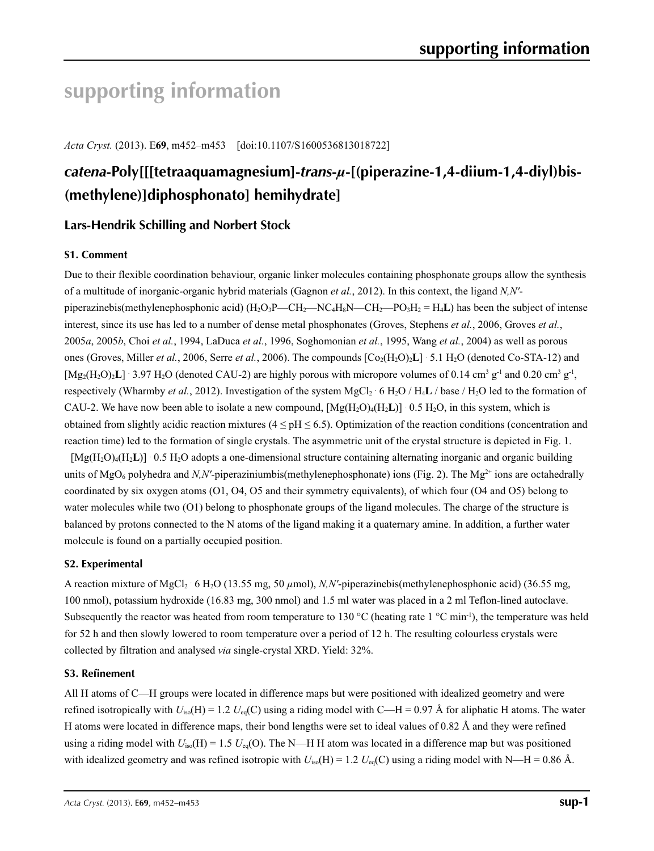# **supporting information**

*Acta Cryst.* (2013). E**69**, m452–m453 [doi:10.1107/S1600536813018722]

# *catena***-Poly[[[tetraaquamagnesium]-***trans***-***µ***-[(piperazine-1,4-diium-1,4-diyl)bis- (methylene)]diphosphonato] hemihydrate]**

## **Lars-Hendrik Schilling and Norbert Stock**

## **S1. Comment**

Due to their flexible coordination behaviour, organic linker molecules containing phosphonate groups allow the synthesis of a multitude of inorganic-organic hybrid materials (Gagnon *et al.*, 2012). In this context, the ligand *N,N′* piperazinebis(methylenephosphonic acid) (H2O3P—CH2—NC4H8N—CH2—PO3H2 = H4**L**) has been the subject of intense interest, since its use has led to a number of dense metal phosphonates (Groves, Stephens *et al.*, 2006, Groves *et al.*, 2005*a*, 2005*b*, Choi *et al.*, 1994, LaDuca *et al.*, 1996, Soghomonian *et al.*, 1995, Wang *et al.*, 2004) as well as porous ones (Groves, Miller *et al.*, 2006, Serre *et al.*, 2006). The compounds  $[Co_2(H_2O)_2L]$  5.1 H<sub>2</sub>O (denoted Co-STA-12) and  $[Mg_2(H_2O)_2L]$  · 3.97 H<sub>2</sub>O (denoted CAU-2) are highly porous with micropore volumes of 0.14 cm<sup>3</sup> g<sup>-1</sup> and 0.20 cm<sup>3</sup> g<sup>-1</sup>, respectively (Wharmby *et al.*, 2012). Investigation of the system MgCl<sub>2</sub> · 6 H<sub>2</sub>O / H<sub>4</sub>**L** / base / H<sub>2</sub>O led to the formation of CAU-2. We have now been able to isolate a new compound,  $[Mg(H_2O)_4(H_2L)] \cdot 0.5 H_2O$ , in this system, which is obtained from slightly acidic reaction mixtures ( $4 \leq pH \leq 6.5$ ). Optimization of the reaction conditions (concentration and reaction time) led to the formation of single crystals. The asymmetric unit of the crystal structure is depicted in Fig. 1.

[Mg(H<sub>2</sub>O)<sub>4</sub>(H<sub>2</sub>**L**)] 0.5 H<sub>2</sub>O adopts a one-dimensional structure containing alternating inorganic and organic building units of MgO<sub>6</sub> polyhedra and *N,N'*-piperaziniumbis(methylenephosphonate) ions (Fig. 2). The Mg<sup>2+</sup> ions are octahedrally coordinated by six oxygen atoms (O1, O4, O5 and their symmetry equivalents), of which four (O4 and O5) belong to water molecules while two (O1) belong to phosphonate groups of the ligand molecules. The charge of the structure is balanced by protons connected to the N atoms of the ligand making it a quaternary amine. In addition, a further water molecule is found on a partially occupied position.

### **S2. Experimental**

A reaction mixture of MgCl<sub>2</sub> 6 H<sub>2</sub>O (13.55 mg, 50 *μ*mol), *N,N'*-piperazinebis(methylenephosphonic acid) (36.55 mg, 100 nmol), potassium hydroxide (16.83 mg, 300 nmol) and 1.5 ml water was placed in a 2 ml Teflon-lined autoclave. Subsequently the reactor was heated from room temperature to 130 °C (heating rate 1 °C min<sup>-1</sup>), the temperature was held for 52 h and then slowly lowered to room temperature over a period of 12 h. The resulting colourless crystals were collected by filtration and analysed *via* single-crystal XRD. Yield: 32%.

### **S3. Refinement**

All H atoms of C—H groups were located in difference maps but were positioned with idealized geometry and were refined isotropically with  $U_{iso}(H) = 1.2 U_{eq}(C)$  using a riding model with C—H = 0.97 Å for aliphatic H atoms. The water H atoms were located in difference maps, their bond lengths were set to ideal values of 0.82 Å and they were refined using a riding model with  $U_{iso}(H) = 1.5 U_{eq}(O)$ . The N—H H atom was located in a difference map but was positioned with idealized geometry and was refined isotropic with  $U_{iso}(H) = 1.2 U_{eq}(C)$  using a riding model with N—H = 0.86 Å.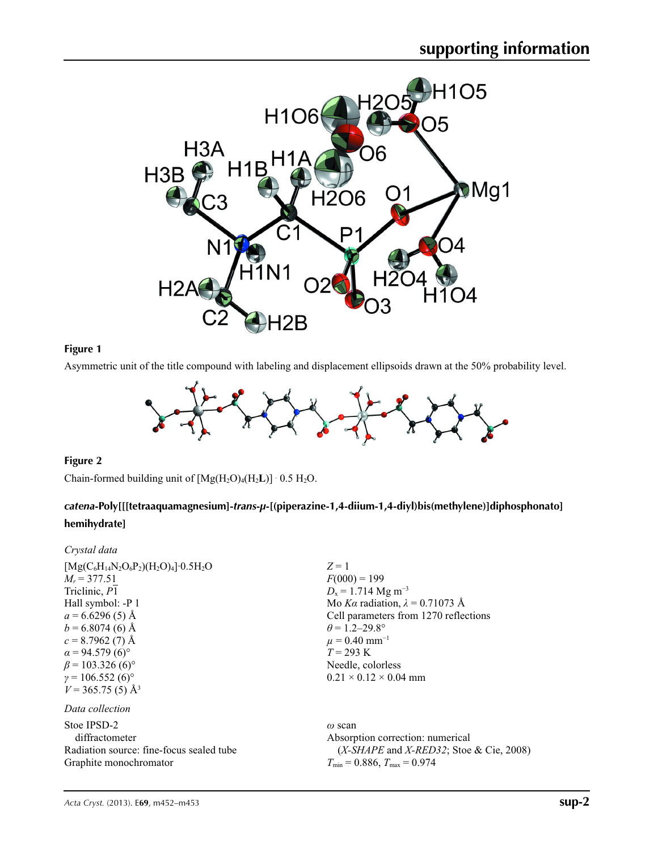

## **Figure 1**

Asymmetric unit of the title compound with labeling and displacement ellipsoids drawn at the 50% probability level.

![](_page_3_Figure_4.jpeg)

### **Figure 2**

Chain-formed building unit of  $[Mg(H_2O)_4(H_2L)] \cdot 0.5 H_2O$ .

## *catena***-Poly[[[tetraaquamagnesium]-***trans***-***µ***-[(piperazine-1,4-diium-1,4-diyl)bis(methylene)]diphosphonato] hemihydrate]**

| Crystal data                                                                                                                                                                                                                                                                                                     |                                                                                                                                                                                                                                                                                          |
|------------------------------------------------------------------------------------------------------------------------------------------------------------------------------------------------------------------------------------------------------------------------------------------------------------------|------------------------------------------------------------------------------------------------------------------------------------------------------------------------------------------------------------------------------------------------------------------------------------------|
| $[Mg(C_6H_{14}N_2O_6P_2)(H_2O)_4] \cdot 0.5H_2O$<br>$M_r = 377.51$<br>Triclinic, P1<br>Hall symbol: -P 1<br>$a = 6.6296(5)$ Å<br>$b = 6.8074(6)$ Å<br>$c = 8.7962(7)$ Å<br>$\alpha$ = 94.579 (6) <sup>o</sup><br>$\beta$ = 103.326 (6) <sup>o</sup><br>$\gamma = 106.552(6)$ °<br>$V = 365.75(5)$ Å <sup>3</sup> | $Z=1$<br>$F(000) = 199$<br>$D_x = 1.714$ Mg m <sup>-3</sup><br>Mo Ka radiation, $\lambda = 0.71073$ Å<br>Cell parameters from 1270 reflections<br>$\theta$ = 1.2–29.8°<br>$\mu = 0.40$ mm <sup>-1</sup><br>$T = 293 \text{ K}$<br>Needle, colorless<br>$0.21 \times 0.12 \times 0.04$ mm |
| Data collection                                                                                                                                                                                                                                                                                                  |                                                                                                                                                                                                                                                                                          |
| Stoe IPSD-2<br>diffractometer<br>Radiation source: fine-focus sealed tube<br>Graphite monochromator                                                                                                                                                                                                              | $\omega$ scan<br>Absorption correction: numerical<br>$(X-SHAPE$ and $X-RED32$ ; Stoe & Cie, 2008)<br>$T_{\min} = 0.886$ , $T_{\max} = 0.974$                                                                                                                                             |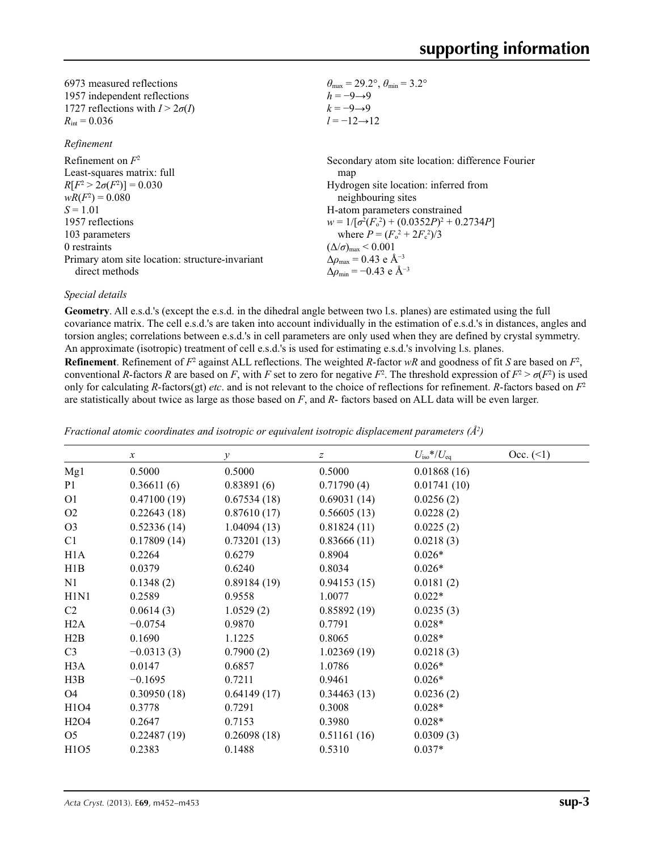| 6973 measured reflections              | $\theta_{\text{max}} = 29.2^{\circ}, \theta_{\text{min}} = 3.2^{\circ}$ |
|----------------------------------------|-------------------------------------------------------------------------|
| 1957 independent reflections           | $h = -9 \rightarrow 9$                                                  |
| 1727 reflections with $I > 2\sigma(I)$ | $k=-9 \rightarrow 9$                                                    |
| $R_{\text{int}} = 0.036$               | $l = -12 \rightarrow 12$                                                |

#### *Refinement*

| Refinement on $F^2$                             | Secondary atom site location: difference Fourier             |
|-------------------------------------------------|--------------------------------------------------------------|
| Least-squares matrix: full                      | map                                                          |
| $R[F^2 > 2\sigma(F^2)] = 0.030$                 | Hydrogen site location: inferred from                        |
| $wR(F^2) = 0.080$                               | neighbouring sites                                           |
| $S = 1.01$                                      | H-atom parameters constrained                                |
| 1957 reflections                                | $w = 1/[\sigma^2(F_0^2) + (0.0352P)^2 + 0.2734P]$            |
| 103 parameters                                  | where $P = (F_o^2 + 2F_c^2)/3$                               |
| 0 restraints                                    | $(\Delta/\sigma)_{\text{max}}$ < 0.001                       |
| Primary atom site location: structure-invariant | $\Delta \rho_{\text{max}} = 0.43 \text{ e } \text{\AA}^{-3}$ |
| direct methods                                  | $\Delta \rho_{\rm min} = -0.43$ e Å <sup>-3</sup>            |

### *Special details*

**Geometry**. All e.s.d.'s (except the e.s.d. in the dihedral angle between two l.s. planes) are estimated using the full covariance matrix. The cell e.s.d.'s are taken into account individually in the estimation of e.s.d.'s in distances, angles and torsion angles; correlations between e.s.d.'s in cell parameters are only used when they are defined by crystal symmetry. An approximate (isotropic) treatment of cell e.s.d.'s is used for estimating e.s.d.'s involving l.s. planes.

**Refinement**. Refinement of  $F^2$  against ALL reflections. The weighted *R*-factor  $wR$  and goodness of fit *S* are based on  $F^2$ , conventional *R*-factors *R* are based on *F*, with *F* set to zero for negative  $F^2$ . The threshold expression of  $F^2 > \sigma(F^2)$  is used only for calculating *R*-factors(gt) *etc*. and is not relevant to the choice of reflections for refinement. *R*-factors based on *F*<sup>2</sup> are statistically about twice as large as those based on *F*, and *R*- factors based on ALL data will be even larger.

|                               | $\boldsymbol{x}$ | $\mathcal{Y}$ | $\boldsymbol{z}$ | $U_{\rm iso}*/U_{\rm eq}$ | Occ. (2) |
|-------------------------------|------------------|---------------|------------------|---------------------------|----------|
| Mg1                           | 0.5000           | 0.5000        | 0.5000           | 0.01868(16)               |          |
| P <sub>1</sub>                | 0.36611(6)       | 0.83891(6)    | 0.71790(4)       | 0.01741(10)               |          |
| O <sub>1</sub>                | 0.47100(19)      | 0.67534(18)   | 0.69031(14)      | 0.0256(2)                 |          |
| O <sub>2</sub>                | 0.22643(18)      | 0.87610(17)   | 0.56605(13)      | 0.0228(2)                 |          |
| O <sub>3</sub>                | 0.52336(14)      | 1.04094(13)   | 0.81824(11)      | 0.0225(2)                 |          |
| C1                            | 0.17809(14)      | 0.73201(13)   | 0.83666(11)      | 0.0218(3)                 |          |
| H1A                           | 0.2264           | 0.6279        | 0.8904           | $0.026*$                  |          |
| H1B                           | 0.0379           | 0.6240        | 0.8034           | $0.026*$                  |          |
| N1                            | 0.1348(2)        | 0.89184(19)   | 0.94153(15)      | 0.0181(2)                 |          |
| H1N1                          | 0.2589           | 0.9558        | 1.0077           | $0.022*$                  |          |
| C <sub>2</sub>                | 0.0614(3)        | 1.0529(2)     | 0.85892(19)      | 0.0235(3)                 |          |
| H2A                           | $-0.0754$        | 0.9870        | 0.7791           | $0.028*$                  |          |
| H2B                           | 0.1690           | 1.1225        | 0.8065           | $0.028*$                  |          |
| C <sub>3</sub>                | $-0.0313(3)$     | 0.7900(2)     | 1.02369(19)      | 0.0218(3)                 |          |
| H <sub>3</sub> A              | 0.0147           | 0.6857        | 1.0786           | $0.026*$                  |          |
| H3B                           | $-0.1695$        | 0.7211        | 0.9461           | $0.026*$                  |          |
| O <sub>4</sub>                | 0.30950(18)      | 0.64149(17)   | 0.34463(13)      | 0.0236(2)                 |          |
| H1O4                          | 0.3778           | 0.7291        | 0.3008           | $0.028*$                  |          |
| H <sub>2</sub> O <sub>4</sub> | 0.2647           | 0.7153        | 0.3980           | $0.028*$                  |          |
| O <sub>5</sub>                | 0.22487(19)      | 0.26098(18)   | 0.51161(16)      | 0.0309(3)                 |          |
| H1O5                          | 0.2383           | 0.1488        | 0.5310           | $0.037*$                  |          |
|                               |                  |               |                  |                           |          |

*Fractional atomic coordinates and isotropic or equivalent isotropic displacement parameters (Å<sup>2</sup>)*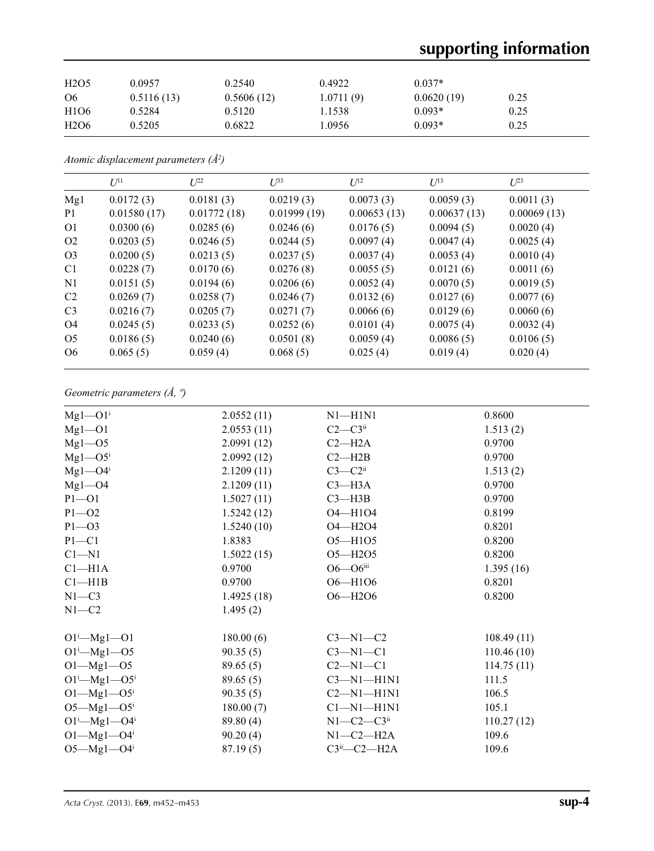# **supporting information**

| H <sub>2</sub> O <sub>5</sub> | 0.0957     | 0.2540     | 0.4922    | $0.037*$   |      |
|-------------------------------|------------|------------|-----------|------------|------|
| O <sub>6</sub>                | 0.5116(13) | 0.5606(12) | 1.0711(9) | 0.0620(19) | 0.25 |
| H <sub>1</sub> O <sub>6</sub> | 0.5284     | 0.5120     | 1.1538    | $0.093*$   | 0.25 |
| H <sub>2</sub> O <sub>6</sub> | 0.5205     | 0.6822     | .0956     | $0.093*$   | 0.25 |

*Atomic displacement parameters (Å2 )*

|                | $U^{11}$    | $L^{22}$    | $\mathcal{L}^{\beta 3}$ | $U^{12}$    | $U^{13}$    | $L^{23}$    |
|----------------|-------------|-------------|-------------------------|-------------|-------------|-------------|
| Mg1            | 0.0172(3)   | 0.0181(3)   | 0.0219(3)               | 0.0073(3)   | 0.0059(3)   | 0.0011(3)   |
| P <sub>1</sub> | 0.01580(17) | 0.01772(18) | 0.01999(19)             | 0.00653(13) | 0.00637(13) | 0.00069(13) |
| O <sub>1</sub> | 0.0300(6)   | 0.0285(6)   | 0.0246(6)               | 0.0176(5)   | 0.0094(5)   | 0.0020(4)   |
| O <sub>2</sub> | 0.0203(5)   | 0.0246(5)   | 0.0244(5)               | 0.0097(4)   | 0.0047(4)   | 0.0025(4)   |
| O <sub>3</sub> | 0.0200(5)   | 0.0213(5)   | 0.0237(5)               | 0.0037(4)   | 0.0053(4)   | 0.0010(4)   |
| C <sub>1</sub> | 0.0228(7)   | 0.0170(6)   | 0.0276(8)               | 0.0055(5)   | 0.0121(6)   | 0.0011(6)   |
| N1             | 0.0151(5)   | 0.0194(6)   | 0.0206(6)               | 0.0052(4)   | 0.0070(5)   | 0.0019(5)   |
| C <sub>2</sub> | 0.0269(7)   | 0.0258(7)   | 0.0246(7)               | 0.0132(6)   | 0.0127(6)   | 0.0077(6)   |
| C <sub>3</sub> | 0.0216(7)   | 0.0205(7)   | 0.0271(7)               | 0.0066(6)   | 0.0129(6)   | 0.0060(6)   |
| O <sub>4</sub> | 0.0245(5)   | 0.0233(5)   | 0.0252(6)               | 0.0101(4)   | 0.0075(4)   | 0.0032(4)   |
| O <sub>5</sub> | 0.0186(5)   | 0.0240(6)   | 0.0501(8)               | 0.0059(4)   | 0.0086(5)   | 0.0106(5)   |
| O <sub>6</sub> | 0.065(5)    | 0.059(4)    | 0.068(5)                | 0.025(4)    | 0.019(4)    | 0.020(4)    |

*Geometric parameters (Å, º)*

| $Mgl$ – $O1i$                | 2.0552(11) | $N1 - H1N1$           | 0.8600     |
|------------------------------|------------|-----------------------|------------|
| $Mgl$ – $O1$                 | 2.0553(11) | $C2-C3ii$             | 1.513(2)   |
| $Mgl$ –O5                    | 2.0991(12) | $C2 - H2A$            | 0.9700     |
| $Mg1 - O5$ <sup>i</sup>      | 2.0992(12) | $C2 - H2B$            | 0.9700     |
| $Mg1 - O4$ <sup>i</sup>      | 2.1209(11) | $C3-C2$ <sup>ii</sup> | 1.513(2)   |
| $Mg1 - O4$                   | 2.1209(11) | $C3 - H3A$            | 0.9700     |
| $P1 - O1$                    | 1.5027(11) | $C3 - H3B$            | 0.9700     |
| $P1 - O2$                    | 1.5242(12) | O4-H1O4               | 0.8199     |
| $P1 - O3$                    | 1.5240(10) | O4-H2O4               | 0.8201     |
| $P1 - C1$                    | 1.8383     | $O5 - H1O5$           | 0.8200     |
| $C1 - N1$                    | 1.5022(15) | O5-H2O5               | 0.8200     |
| $C1-H1A$                     | 0.9700     | $O6 - O6$ iii         | 1.395(16)  |
| Cl—H1B                       | 0.9700     | O6-H1O6               | 0.8201     |
| $N1 - C3$                    | 1.4925(18) | O6-H2O6               | 0.8200     |
| $N1 - C2$                    | 1.495(2)   |                       |            |
| $O1^{i}$ -Mgl- $O1$          | 180.00(6)  | $C3-M1-C2$            | 108.49(11) |
| $O1^{\text{i}}$ -Mgl- $O5$   | 90.35(5)   | $C3-M1-C1$            | 110.46(10) |
| $O1 - Mg1 - O5$              | 89.65(5)   | $C2 - N1 - C1$        | 114.75(11) |
| $O1^{i}$ -Mg $1$ - $O5^{i}$  | 89.65(5)   | $C3-M1-H1N1$          | 111.5      |
| $O1 - Mg1 - O5$              | 90.35(5)   | $C2-M1-H1N1$          | 106.5      |
| $O5 - Mg1 - O5$              | 180.00(7)  | $Cl-M1-H1N1$          | 105.1      |
| $O1^{i}$ -Mg1- $O4^{i}$      | 89.80(4)   | $N1-C2-C3ii$          | 110.27(12) |
| $O1 - Mg1 - O4$ <sup>i</sup> | 90.20(4)   | $N1-C2-H2A$           | 109.6      |
| $O5 - Mg1 - O4$ <sup>i</sup> | 87.19(5)   | $C3ii$ - $C2$ -H2A    | 109.6      |
|                              |            |                       |            |